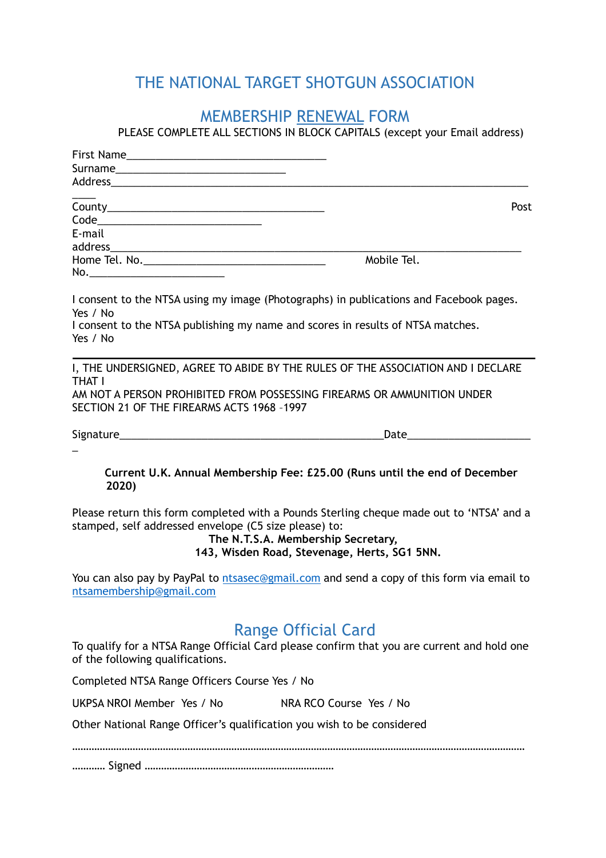## THE NATIONAL TARGET SHOTGUN ASSOCIATION

## MEMBERSHIP RENEWAL FORM

PLEASE COMPLETE ALL SECTIONS IN BLOCK CAPITALS (except your Email address)

|                                                                        | Post                                                                                                                                                                           |
|------------------------------------------------------------------------|--------------------------------------------------------------------------------------------------------------------------------------------------------------------------------|
|                                                                        |                                                                                                                                                                                |
| E-mail                                                                 |                                                                                                                                                                                |
|                                                                        |                                                                                                                                                                                |
|                                                                        | Mobile Tel.                                                                                                                                                                    |
|                                                                        |                                                                                                                                                                                |
| Yes / No                                                               | I consent to the NTSA using my image (Photographs) in publications and Facebook pages.                                                                                         |
| Yes / No                                                               | I consent to the NTSA publishing my name and scores in results of NTSA matches.                                                                                                |
|                                                                        |                                                                                                                                                                                |
| THAT I                                                                 | I, THE UNDERSIGNED, AGREE TO ABIDE BY THE RULES OF THE ASSOCIATION AND I DECLARE                                                                                               |
|                                                                        | AM NOT A PERSON PROHIBITED FROM POSSESSING FIREARMS OR AMMUNITION UNDER                                                                                                        |
| SECTION 21 OF THE FIREARMS ACTS 1968 -1997                             |                                                                                                                                                                                |
|                                                                        |                                                                                                                                                                                |
|                                                                        |                                                                                                                                                                                |
| 2020)                                                                  | Current U.K. Annual Membership Fee: £25.00 (Runs until the end of December                                                                                                     |
| stamped, self addressed envelope (C5 size please) to:                  | Please return this form completed with a Pounds Sterling cheque made out to 'NTSA' and a<br>The N.T.S.A. Membership Secretary,<br>143, Wisden Road, Stevenage, Herts, SG1 5NN. |
| ntsamembership@gmail.com                                               | You can also pay by PayPal to ntsasec@gmail.com and send a copy of this form via email to                                                                                      |
|                                                                        | <b>Range Official Card</b>                                                                                                                                                     |
| of the following qualifications.                                       | To qualify for a NTSA Range Official Card please confirm that you are current and hold one                                                                                     |
| Completed NTSA Range Officers Course Yes / No                          |                                                                                                                                                                                |
| UKPSA NROI Member Yes / No                                             | NRA RCO Course Yes / No                                                                                                                                                        |
| Other National Range Officer's qualification you wish to be considered |                                                                                                                                                                                |
|                                                                        |                                                                                                                                                                                |

………… Signed ……………………………………………………………